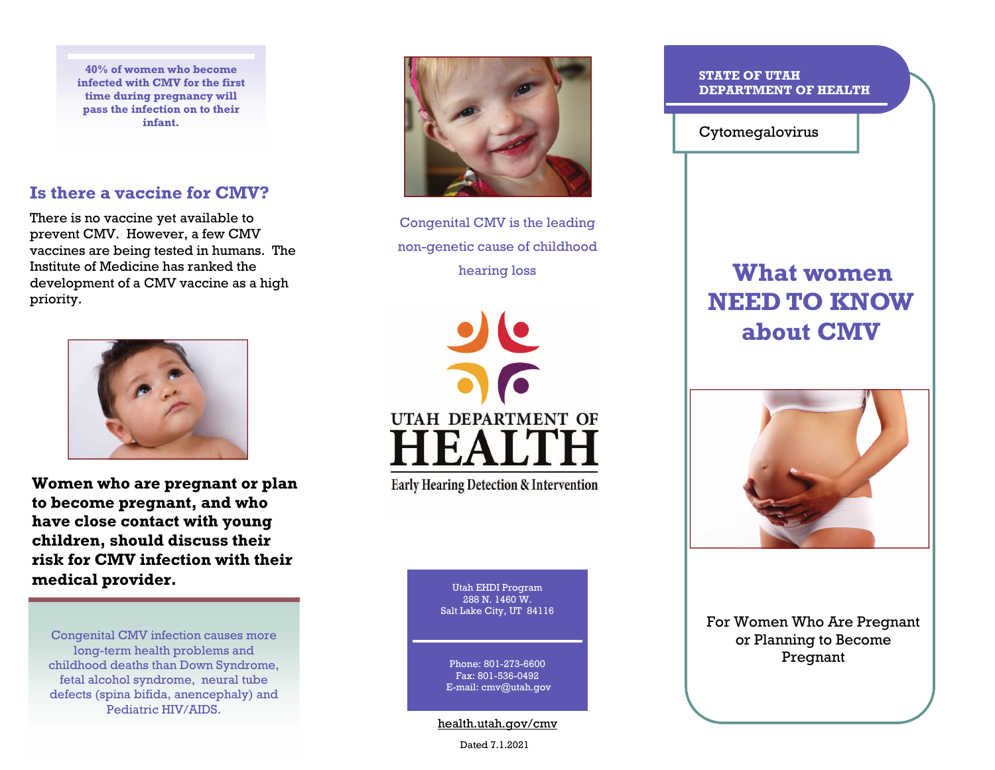**40% of women who become infected with CMV for the first time during pregnancy will pass the infection on to their infant.** 

## **Is there a vaccine for CMV?**

There is no vaccine yet available to prevent CMV. However, a few CMV vaccines are being tested in humans. The Institute of Medicine has ranked the development of a CMV vaccine as a high priority.



**Women who are pregnant or plan to become pregnant, and who have close contact with young children, should discuss their risk for CMV infection with their medical provider.** 

Congenital CMV infection causes more long-term health problems and childhood deaths than Down Syndrome, fetal alcohol syndrome, neural tube defects (spina bifida, anencephaly) and Pediatric HIV/AIDS.



Congenital CMV is the leading non-genetic cause of childhood hearing loss



**Early Hearing Detection & Intervention** 

Utah EHDI Program 288 N. 1460 W.Salt Lake City, UT 84116

Phone: 801-273-6600Fax: 801-536-0492 E-mail: cmv@utah.gov

health.utah.gov/cmv

Dated 7.1.2021

## **STATE OF UTAH DEPARTMENT OF HEALTH**

Cytomegalovirus

## **What women NEED TO KNOW about CMV**



For Women Who Are Pregnant or Planning to Become Pregnant